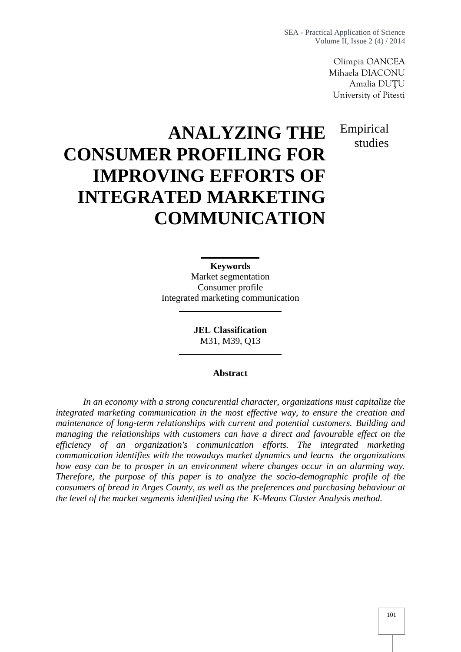Olimpia OANCEA Mihaela DIACONU Amalia DU U University of Pitesti

# Empirical studies

# **ANALYZING THE CONSUMER PROFILING FOR IMPROVING EFFORTS OF INTEGRATED MARKETING COMMUNICATION**

**Keywords** Market segmentation Consumer profile Integrated marketing communication

> **JEL Classification** M31, M39, Q13

#### **Abstract**

*In an economy with a strong concurential character, organizations must capitalize the integrated marketing communication in the most effective way, to ensure the creation and maintenance of long-term relationships with current and potential customers. Building and managing the relationships with customers can have a direct and favourable effect on the efficiency of an organization's communication efforts. The integrated marketing communication identifies with the nowadays market dynamics and learns the organizations how easy can be to prosper in an environment where changes occur in an alarming way. Therefore, the purpose of this paper is to analyze the socio-demographic profile of the consumers of bread in Arges County, as well as the preferences and purchasing behaviour at the level of the market segments identified using the K-Means Cluster Analysis method.*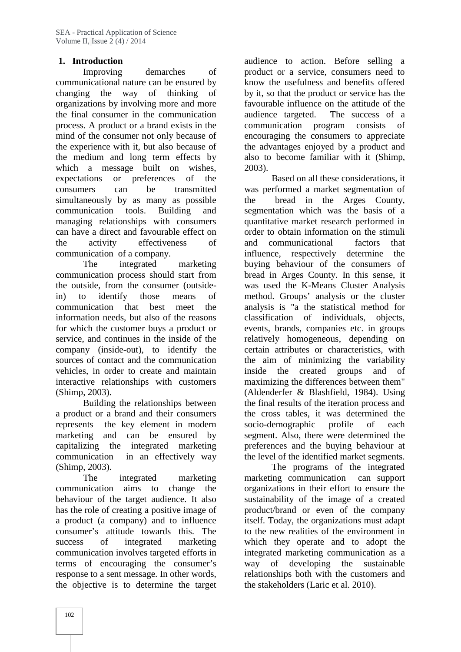## **1. Introduction**

Improving demarches of communicational nature can be ensured by changing the way of thinking of organizations by involving more and more the final consumer in the communication process. A product or a brand exists in the mind of the consumer not only because of the experience with it, but also because of the medium and long term effects by which a message built on wishes, expectations or preferences of the consumers can be transmitted simultaneously by as many as possible the communication tools. Building and managing relationships with consumers can have a direct and favourable effect on the activity effectiveness of communication of a company.

The integrated marketing communication process should start from the outside, from the consumer (outsidein) to identify those means of communication that best meet the information needs, but also of the reasons for which the customer buys a product or service, and continues in the inside of the company (inside-out), to identify the sources of contact and the communication vehicles, in order to create and maintain interactive relationships with customers (Shimp, 2003).

Building the relationships between a product or a brand and their consumers represents the key element in modern marketing and can be ensured by capitalizing the integrated marketing communication in an effectively way (Shimp, 2003).

The integrated marketing communication aims to change the behaviour of the target audience. It also has the role of creating a positive image of a product (a company) and to influence consumer's attitude towards this. The success of integrated marketing communication involves targeted efforts in terms of encouraging the consumer's response to a sent message. In other words, the objective is to determine the target audience to action. Before selling a product or a service, consumers need to know the usefulness and benefits offered by it, so that the product or service has the favourable influence on the attitude of the The success of a communication program consists of encouraging the consumers to appreciate the advantages enjoyed by a product and also to become familiar with it (Shimp, 2003).

Based on all these considerations, it was performed a market segmentation of bread in the Arges County, segmentation which was the basis of a quantitative market research performed in order to obtain information on the stimuli and communicational factors that influence, respectively determine the buying behaviour of the consumers of bread in Arges County. In this sense, it was used the K-Means Cluster Analysis method. Groups' analysis or the cluster analysis is "a the statistical method for classification of individuals, objects, events, brands, companies etc. in groups relatively homogeneous, depending on certain attributes or characteristics, with the aim of minimizing the variability the created groups and of maximizing the differences between them" (Aldenderfer & Blashfield, 1984). Using the final results of the iteration process and the cross tables, it was determined the socio-demographic profile of each segment. Also, there were determined the preferences and the buying behaviour at the level of the identified market segments.

The programs of the integrated marketing communication can support organizations in their effort to ensure the sustainability of the image of a created product/brand or even of the company itself. Today, the organizations must adapt to the new realities of the environment in which they operate and to adopt the integrated marketing communication as a way of developing the sustainable relationships both with the customers and the stakeholders (Laric et al. 2010).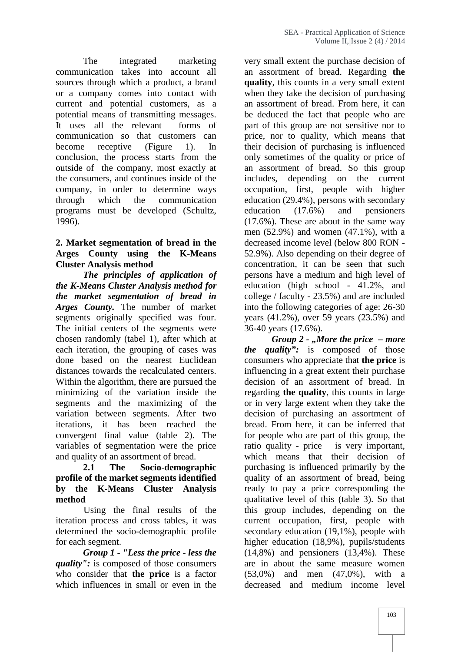The integrated marketing communication takes into account all sources through which a product, a brand or a company comes into contact with current and potential customers, as a potential means of transmitting messages. It uses all the relevant forms of communication so that customers can become receptive (Figure 1). In conclusion, the process starts from the outside of the company, most exactly at the consumers, and continues inside of the company, in order to determine ways through which the communication programs must be developed (Schultz, 1996).

## **2. Market segmentation of bread in the Arges County using the K-Means Cluster Analysis method**

*The principles of application of the K-Means Cluster Analysis method for the market segmentation of bread in Arges County.* The number of market segments originally specified was four. The initial centers of the segments were chosen randomly (tabel 1), after which at each iteration, the grouping of cases was done based on the nearest Euclidean distances towards the recalculated centers. Within the algorithm, there are pursued the minimizing of the variation inside the segments and the maximizing of the variation between segments. After two iterations, it has been reached the convergent final value (table 2). The variables of segmentation were the price and quality of an assortment of bread.

#### **2.1 The Socio-demographic profile of the market segments identified by the K-Means Cluster Analysis method**

Using the final results of the iteration process and cross tables, it was determined the socio-demographic profile for each segment.

*Group 1 - "Less the price - less the quality":* is composed of those consumers who consider that **the price** is a factor which influences in small or even in the

very small extent the purchase decision of an assortment of bread. Regarding **the quality**, this counts in a very small extent when they take the decision of purchasing an assortment of bread. From here, it can be deduced the fact that people who are part of this group are not sensitive nor to price, nor to quality, which means that their decision of purchasing is influenced only sometimes of the quality or price of an assortment of bread. So this group depending on the current occupation, first, people with higher education (29.4%), persons with secondary education (17.6%) and pensioners (17.6%). These are about in the same way men (52.9%) and women (47.1%), with a decreased income level (below 800 RON - 52.9%). Also depending on their degree of concentration, it can be seen that such persons have a medium and high level of education (high school - 41.2%, and college / faculty - 23.5%) and are included into the following categories of age: 26-30 years (41.2%), over 59 years (23.5%) and 36-40 years (17.6%).

*Group 2 - "More the price – more the quality":* is composed of those consumers who appreciate that **the price** is influencing in a great extent their purchase decision of an assortment of bread. In regarding **the quality**, this counts in large or in very large extent when they take the decision of purchasing an assortment of bread. From here, it can be inferred that for people who are part of this group, the ratio quality - price is very important, which means that their decision of purchasing is influenced primarily by the quality of an assortment of bread, being ready to pay a price corresponding the qualitative level of this (table 3). So that this group includes, depending on the current occupation, first, people with secondary education (19,1%), people with higher education (18,9%), pupils/students (14,8%) and pensioners (13,4%). These are in about the same measure women (53,0%) and men (47,0%), with a decreased and medium income level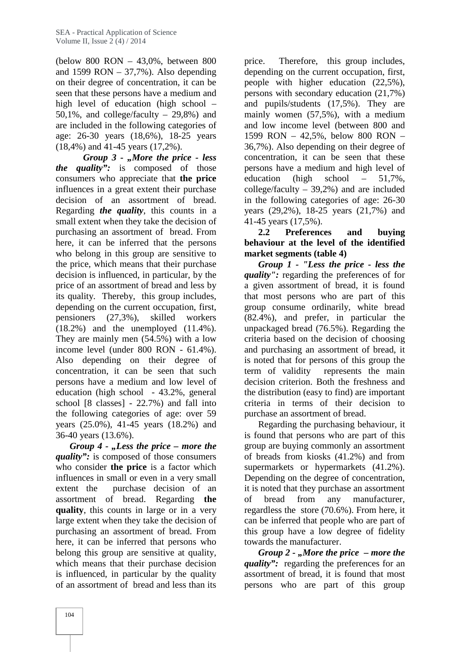(below 800 RON – 43,0%, between 800 and 1599 RON  $-$  37,7%). Also depending on their degree of concentration, it can be seen that these persons have a medium and high level of education (high school – 50,1%, and college/faculty – 29,8%) and are included in the following categories of age: 26-30 years (18,6%), 18-25 years (18,4%) and 41-45 years (17,2%).

*Group 3 - "More the price -less the quality":* is composed of those consumers who appreciate that **the price** influences in a great extent their purchase decision of an assortment of bread. Regarding *the quality*, this counts in a small extent when they take the decision of purchasing an assortment of bread. From here, it can be inferred that the persons who belong in this group are sensitive to the price, which means that their purchase decision is influenced, in particular, by the price of an assortment of bread and less by its quality. Thereby, this group includes, depending on the current occupation, first, pensioners (27,3%), skilled workers (18.2%) and the unemployed (11.4%). They are mainly men (54.5%) with a low income level (under 800 RON - 61.4%). Also depending on their degree of concentration, it can be seen that such term of validity persons have a medium and low level of education (high school - 43.2%, general school [8 classes] - 22.7%) and fall into the following categories of age: over 59 years (25.0%), 41-45 years (18.2%) and 36-40 years (13.6%).

*Group 4 - "Less the price – more the quality":* is composed of those consumers who consider **the price** is a factor which influences in small or even in a very small extent the purchase decision of an assortment of bread. Regarding **the quality**, this counts in large or in a very large extent when they take the decision of purchasing an assortment of bread. From here, it can be inferred that persons who belong this group are sensitive at quality, which means that their purchase decision is influenced, in particular by the quality of an assortment of bread and less than its

Therefore, this group includes, depending on the current occupation, first, people with higher education (22,5%), persons with secondary education (21,7%) and pupils/students (17,5%). They are mainly women (57,5%), with a medium and low income level (between 800 and 1599 RON – 42,5%, below 800 RON – 36,7%). Also depending on their degree of concentration, it can be seen that these persons have a medium and high level of education (high school – 51,7%, college/faculty – 39,2%) and are included in the following categories of age: 26-30 years (29,2%), 18-25 years (21,7%) and 41-45 years (17,5%).

**2.2 Preferences and buying behaviour at the level of the identified market segments (table 4)**

*Group 1 - "Less the price -less the quality":* regarding the preferences of for a given assortment of bread, it is found that most persons who are part of this group consume ordinarily, white bread (82.4%), and prefer, in particular the unpackaged bread (76.5%). Regarding the criteria based on the decision of choosing and purchasing an assortment of bread, it is noted that for persons of this group the represents the main decision criterion. Both the freshness and the distribution (easy to find) are important criteria in terms of their decision to purchase an assortment of bread.

Regarding the purchasing behaviour, it is found that persons who are part of this group are buying commonly an assortment of breads from kiosks (41.2%) and from supermarkets or hypermarkets (41.2%). Depending on the degree of concentration, it is noted that they purchase an assortment bread from any manufacturer, regardless the store (70.6%). From here, it can be inferred that people who are part of this group have a low degree of fidelity towards the manufacturer.

*Group 2 - "More the price – more the quality*": regarding the preferences for an assortment of bread, it is found that most persons who are part of this group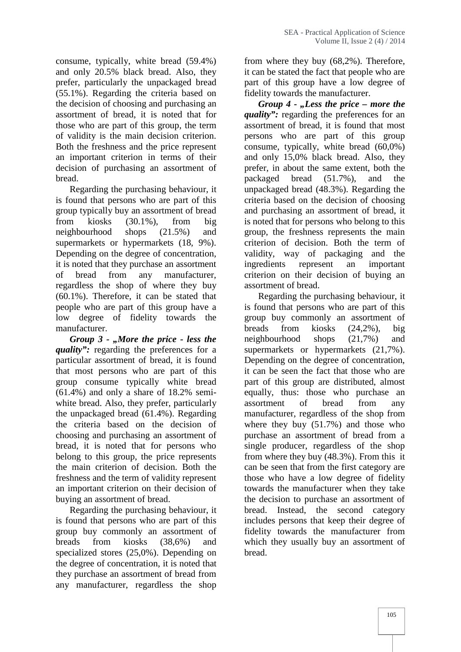consume, typically, white bread (59.4%) and only 20.5% black bread. Also, they prefer, particularly the unpackaged bread (55.1%). Regarding the criteria based on the decision of choosing and purchasing an assortment of bread, it is noted that for those who are part of this group, the term of validity is the main decision criterion. Both the freshness and the price represent an important criterion in terms of their decision of purchasing an assortment of bread.

Regarding the purchasing behaviour, it is found that persons who are part of this group typically buy an assortment of bread from kiosks (30.1%), from big neighbourhood shops (21.5%) and supermarkets or hypermarkets (18, 9%). Depending on the degree of concentration, it is noted that they purchase an assortment of bread from any manufacturer, regardless the shop of where they buy (60.1%). Therefore, it can be stated that people who are part of this group have a low degree of fidelity towards the manufacturer.

*Group 3 - "More the price - less the quality":* regarding the preferences for a particular assortment of bread, it is found that most persons who are part of this group consume typically white bread (61.4%) and only a share of 18.2% semi white bread. Also, they prefer, particularly the unpackaged bread (61.4%). Regarding the criteria based on the decision of choosing and purchasing an assortment of bread, it is noted that for persons who belong to this group, the price represents the main criterion of decision. Both the freshness and the term of validity represent an important criterion on their decision of buying an assortment of bread.

Regarding the purchasing behaviour, it is found that persons who are part of this group buy commonly an assortment of breads from kiosks (38,6%) and specialized stores (25,0%). Depending on the degree of concentration, it is noted that they purchase an assortment of bread from any manufacturer, regardless the shop

from where they buy (68,2%). Therefore, it can be stated the fact that people who are part of this group have a low degree of fidelity towards the manufacturer.

*Group 4 - "Less the price – more the quality*": regarding the preferences for an assortment of bread, it is found that most persons who are part of this group consume, typically, white bread (60,0%) and only 15,0% black bread. Also, they prefer, in about the same extent, both the packaged bread (51.7%), and the unpackaged bread (48.3%). Regarding the criteria based on the decision of choosing and purchasing an assortment of bread, it is noted that for persons who belong to this group, the freshness represents the main criterion of decision. Both the term of validity, way of packaging and the ingredients represent an important criterion on their decision of buying an assortment of bread.

Regarding the purchasing behaviour, it is found that persons who are part of this group buy commonly an assortment of breads from kiosks (24,2%), big neighbourhood shops (21,7%) and supermarkets or hypermarkets  $(21,7\%)$ . Depending on the degree of concentration, it can be seen the fact that those who are part of this group are distributed, almost equally, thus: those who purchase an assortment of bread from any manufacturer, regardless of the shop from where they buy (51.7%) and those who purchase an assortment of bread from a single producer, regardless of the shop from where they buy (48.3%). From this it can be seen that from the first category are those who have a low degree of fidelity towards the manufacturer when they take the decision to purchase an assortment of bread. Instead, the second category includes persons that keep their degree of fidelity towards the manufacturer from which they usually buy an assortment of bread.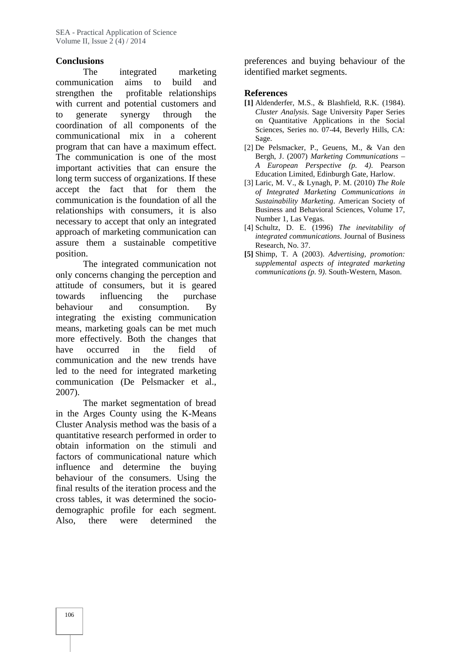#### **Conclusions**

The integrated marketing communication aims to build and strengthen the profitable relationships with current and potential customers and to generate synergy through the coordination of all components of the communicational mix in a coherent program that can have a maximum effect. The communication is one of the most important activities that can ensure the long term success of organizations. If these accept the fact that for them the communication is the foundation of all the relationships with consumers, it is also necessary to accept that only an integrated approach of marketing communication can assure them a sustainable competitive

position.<br>The integrated communication not only concerns changing the perception and attitude of consumers, but it is geared towards influencing the purchase behaviour and consumption. By integrating the existing communication means, marketing goals can be met much more effectively. Both the changes that have occurred in the field of communication and the new trends have led to the need for integrated marketing communication (De Pelsmacker et al., 2007).

The market segmentation of bread in the Arges County using the K-Means Cluster Analysis method was the basis of a quantitative research performed in order to obtain information on the stimuli and factors of communicational nature which influence and determine the buying behaviour of the consumers. Using the final results of the iteration process and the cross tables, it was determined the socio demographic profile for each segment. Also, there were determined the preferences and buying behaviour of the identified market segments.

#### **References**

- **[1]** Aldenderfer, M.S., & Blashfield, R.K. (1984). *Cluster Analysis*. Sage University Paper Series on Quantitative Applications in the Social Sciences, Series no. 07-44, Beverly Hills, CA: Sage.
- [2] De Pelsmacker, P., Geuens, M., & Van den Bergh, J. (2007) *Marketing Communications – A European Perspective (p. 4)*. Pearson Education Limited, Edinburgh Gate, Harlow.
- [3] Laric, M. V., & Lynagh, P. M. (2010) *The Role of Integrated Marketing Communications in Sustainability Marketing*. American Society of Business and Behavioral Sciences, Volume 17, Number 1, Las Vegas.
- [4] Schultz, D. E. (1996) *The inevitability of integrated communications*. Journal of Business Research, No. 37.
- **[5]** Shimp, T. A (2003). *Advertising, promotion: supplemental aspects of integrated marketing communications (p. 9)*. South-Western, Mason.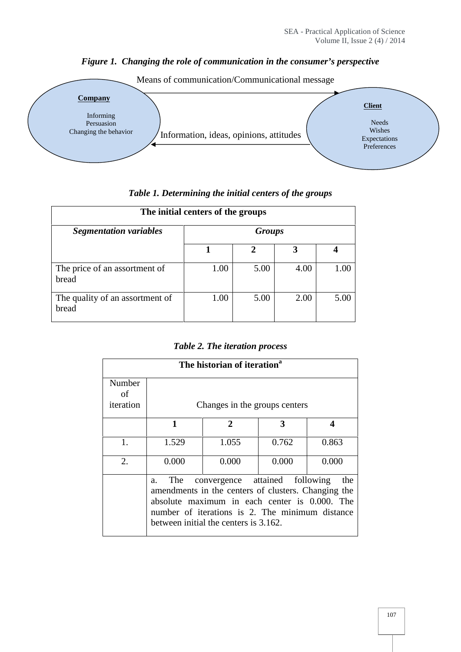# *Figure 1. Changing the role of communication in the consumer's perspective*



*Table 1. Determining the initial centers of the groups*

| The initial centers of the groups        |               |      |      |      |  |
|------------------------------------------|---------------|------|------|------|--|
| <b>Segmentation variables</b>            | <b>Groups</b> |      |      |      |  |
|                                          |               | 2    | 3    |      |  |
| The price of an assortment of<br>bread   | 1.00          | 5.00 | 4.00 | 1.00 |  |
| The quality of an assortment of<br>bread | 1.00          | 5.00 | 2.00 | 5.00 |  |

#### *Table 2. The iteration process*

| The historian of iteration <sup>a</sup> |           |                                                                                                                                                                                                                                    |       |       |
|-----------------------------------------|-----------|------------------------------------------------------------------------------------------------------------------------------------------------------------------------------------------------------------------------------------|-------|-------|
| Number<br>of<br>iteration               |           | Changes in the groups centers                                                                                                                                                                                                      |       |       |
|                                         | 1         | $\mathbf{2}$                                                                                                                                                                                                                       | 3     | 4     |
| 1.                                      | 1.529     | 1.055                                                                                                                                                                                                                              | 0.762 | 0.863 |
| 2.                                      | 0.000     | 0.000                                                                                                                                                                                                                              | 0.000 | 0.000 |
|                                         | The<br>a. | convergence attained following<br>amendments in the centers of clusters. Changing the<br>absolute maximum in each center is 0.000. The<br>number of iterations is 2. The minimum distance<br>between initial the centers is 3.162. |       | the   |